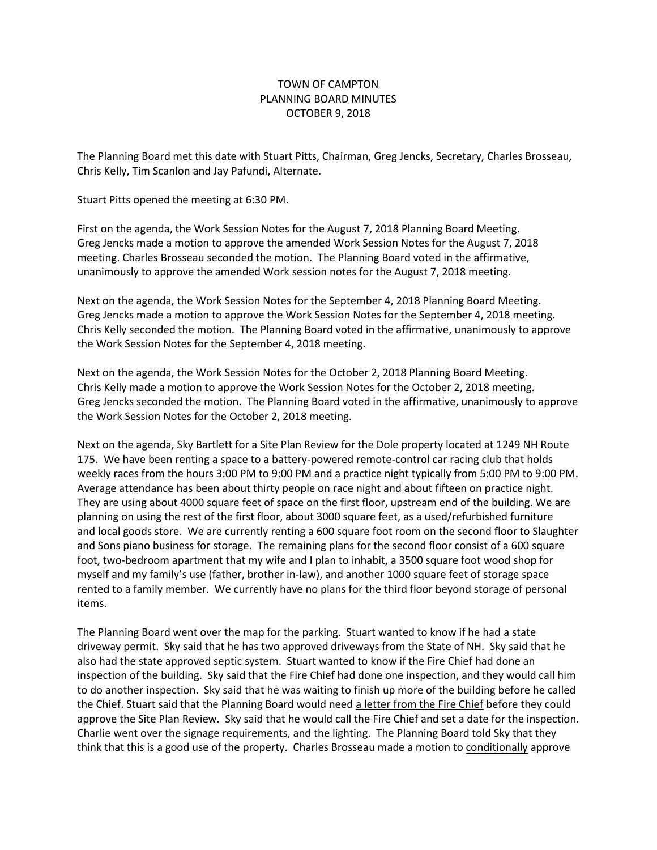## TOWN OF CAMPTON PLANNING BOARD MINUTES OCTOBER 9, 2018

The Planning Board met this date with Stuart Pitts, Chairman, Greg Jencks, Secretary, Charles Brosseau, Chris Kelly, Tim Scanlon and Jay Pafundi, Alternate.

Stuart Pitts opened the meeting at 6:30 PM.

First on the agenda, the Work Session Notes for the August 7, 2018 Planning Board Meeting. Greg Jencks made a motion to approve the amended Work Session Notes for the August 7, 2018 meeting. Charles Brosseau seconded the motion. The Planning Board voted in the affirmative, unanimously to approve the amended Work session notes for the August 7, 2018 meeting.

Next on the agenda, the Work Session Notes for the September 4, 2018 Planning Board Meeting. Greg Jencks made a motion to approve the Work Session Notes for the September 4, 2018 meeting. Chris Kelly seconded the motion. The Planning Board voted in the affirmative, unanimously to approve the Work Session Notes for the September 4, 2018 meeting.

Next on the agenda, the Work Session Notes for the October 2, 2018 Planning Board Meeting. Chris Kelly made a motion to approve the Work Session Notes for the October 2, 2018 meeting. Greg Jencks seconded the motion. The Planning Board voted in the affirmative, unanimously to approve the Work Session Notes for the October 2, 2018 meeting.

Next on the agenda, Sky Bartlett for a Site Plan Review for the Dole property located at 1249 NH Route 175. We have been renting a space to a battery-powered remote-control car racing club that holds weekly races from the hours 3:00 PM to 9:00 PM and a practice night typically from 5:00 PM to 9:00 PM. Average attendance has been about thirty people on race night and about fifteen on practice night. They are using about 4000 square feet of space on the first floor, upstream end of the building. We are planning on using the rest of the first floor, about 3000 square feet, as a used/refurbished furniture and local goods store. We are currently renting a 600 square foot room on the second floor to Slaughter and Sons piano business for storage. The remaining plans for the second floor consist of a 600 square foot, two-bedroom apartment that my wife and I plan to inhabit, a 3500 square foot wood shop for myself and my family's use (father, brother in-law), and another 1000 square feet of storage space rented to a family member. We currently have no plans for the third floor beyond storage of personal items.

The Planning Board went over the map for the parking. Stuart wanted to know if he had a state driveway permit. Sky said that he has two approved driveways from the State of NH. Sky said that he also had the state approved septic system. Stuart wanted to know if the Fire Chief had done an inspection of the building. Sky said that the Fire Chief had done one inspection, and they would call him to do another inspection. Sky said that he was waiting to finish up more of the building before he called the Chief. Stuart said that the Planning Board would need a letter from the Fire Chief before they could approve the Site Plan Review. Sky said that he would call the Fire Chief and set a date for the inspection. Charlie went over the signage requirements, and the lighting. The Planning Board told Sky that they think that this is a good use of the property. Charles Brosseau made a motion to conditionally approve